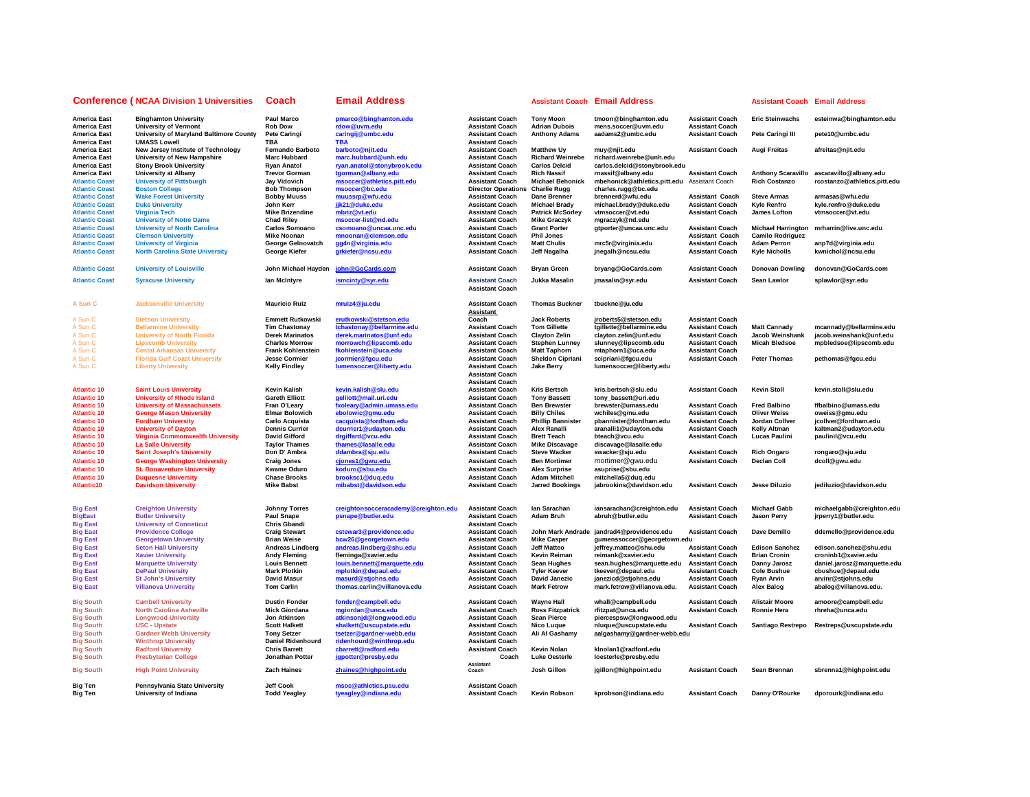|                                                                     | <b>Conference (NCAA Division 1 Universities</b>                                                 | <b>Coach</b>                                               | Email Address                                                                  |                                                                            |                                                                       | <b>Assistant Coach Email Address</b>                                                               |                                                  | <b>Assistant Coach Email Address</b>         |                                                                           |
|---------------------------------------------------------------------|-------------------------------------------------------------------------------------------------|------------------------------------------------------------|--------------------------------------------------------------------------------|----------------------------------------------------------------------------|-----------------------------------------------------------------------|----------------------------------------------------------------------------------------------------|--------------------------------------------------|----------------------------------------------|---------------------------------------------------------------------------|
| <b>America East</b><br><b>America East</b>                          | <b>Binghamton University</b><br><b>University of Vermont</b>                                    | <b>Paul Marco</b><br><b>Rob Dow</b>                        | pmarco@binghamton.edu<br>rdow@uvm.edu                                          | <b>Assistant Coach</b><br><b>Assistant Coach</b>                           | <b>Tony Moon</b><br><b>Adrian Dubois</b>                              | tmoon@binghamton.edu<br>mens.soccer@uvm.edu                                                        | <b>Assistant Coach</b><br><b>Assistant Coach</b> | <b>Eric Steinwachs</b>                       | esteinwa@binghamton.edu                                                   |
| <b>America East</b><br><b>America East</b>                          | University of Maryland Baltimore County<br><b>UMASS Lowell</b>                                  | <b>Pete Caringi</b><br><b>TBA</b>                          | caringij@umbc.edu<br><b>TBA</b>                                                | <b>Assistant Coach</b><br><b>Assistant Coach</b>                           | <b>Anthony Adams</b>                                                  | aadams2@umbc.edu                                                                                   | <b>Assistant Coach</b>                           | Pete Caringi III                             | pete10@umbc.edu                                                           |
| <b>America East</b><br><b>America East</b>                          | New Jersey Institute of Technology<br>University of New Hampshire                               | Fernando Barboto<br><b>Marc Hubbard</b>                    | barboto@njit.edu<br>marc.hubbard@unh.edu                                       | <b>Assistant Coach</b><br><b>Assistant Coach</b>                           | <b>Matthew Uy</b><br><b>Richard Weinrebe</b>                          | muy@njit.edu<br>richard.weinrebe@unh.edu                                                           | <b>Assistant Coach</b>                           | Augi Freitas                                 | afreitas@njit.edu                                                         |
| <b>America East</b><br><b>America East</b><br><b>Atlantic Coast</b> | <b>Stony Brook University</b><br><b>University at Albany</b><br><b>University of Pittsburgh</b> | <b>Ryan Anatol</b><br><b>Trevor Gorman</b><br>Jay Vidovich | ryan.anatol@stonybrook.edu<br>tgorman@albany.edu<br>msoccer@athletics.pitt.edu | <b>Assistant Coach</b><br><b>Assistant Coach</b><br><b>Assistant Coach</b> | <b>Carlos Delcid</b><br><b>Rich Nassif</b><br><b>Michael Behonick</b> | carlos.delcid@stonybrook.edu<br>rnassif@albany.edu<br>mbehonick@athletics.pitt.edu Assistant Coach | <b>Assistant Coach</b>                           | <b>Rich Costanzo</b>                         | Anthony Scaravillo ascaravillo@albany.edu<br>rcostanzo@athletics.pitt.edu |
| <b>Atlantic Coast</b><br><b>Atlantic Coast</b>                      | <b>Boston College</b><br><b>Wake Forest University</b>                                          | <b>Bob Thompson</b><br><b>Bobby Muuss</b>                  | msoccer@bc.edu<br>muussrp@wfu.edu                                              | Director Operations Charlie Rugg<br><b>Assistant Coach</b>                 | Dane Brenner                                                          | charles.rugg@bc.edu<br>brennerd@wfu.edu                                                            | <b>Assistant Coach</b>                           | <b>Steve Armas</b>                           | armasas@wfu.edu                                                           |
| <b>Atlantic Coast</b>                                               | <b>Duke University</b>                                                                          | John Kerr                                                  | jjk21@duke.edu                                                                 | <b>Assistant Coach</b>                                                     | <b>Michael Brady</b>                                                  | michael.brady@duke.edu                                                                             | <b>Assistant Coach</b>                           | <b>Kyle Renfro</b>                           | kyle.renfro@duke.edu                                                      |
| <b>Atlantic Coast</b>                                               | <b>Virginia Tech</b>                                                                            | <b>Mike Brizendine</b>                                     | mbriz@vt.edu                                                                   | <b>Assistant Coach</b>                                                     | <b>Patrick McSorley</b>                                               | vtmsoccer@vt.edu                                                                                   | <b>Assistant Coach</b>                           | James Lofton                                 | vtmsoccer@vt.edu                                                          |
| <b>Atlantic Coast</b>                                               | <b>University of Notre Dame</b>                                                                 | <b>Chad Riley</b>                                          | msoccer-list@nd.edu                                                            | <b>Assistant Coach</b>                                                     | <b>Mike Graczyk</b>                                                   | mgraczyk@nd.edu                                                                                    |                                                  |                                              |                                                                           |
| <b>Atlantic Coast</b>                                               | <b>University of North Carolina</b>                                                             | Carlos Somoano                                             | csomoano@uncaa.unc.edu                                                         | <b>Assistant Coach</b>                                                     | <b>Grant Porter</b>                                                   | gtporter@uncaa.unc.edu                                                                             | <b>Assistant Coach</b>                           | <b>Michael Harrington</b>                    | mrharrin@live.unc.edu                                                     |
| <b>Atlantic Coast</b>                                               | <b>Clemson University</b>                                                                       | <b>Mike Noonan</b>                                         | mnoonan@clemson.edu                                                            | <b>Assistant Coach</b>                                                     | <b>Phil Jones</b>                                                     |                                                                                                    | <b>Assistant Coach</b>                           | <b>Camilo Rodriguez</b>                      |                                                                           |
| <b>Atlantic Coast</b><br><b>Atlantic Coast</b>                      | <b>University of Virginia</b><br><b>North Carolina State University</b>                         | George Gelnovatch<br>George Kiefer                         | gg4n@virginia.edu<br>grkiefer@ncsu.edu                                         | <b>Assistant Coach</b><br><b>Assistant Coach</b>                           | <b>Matt Chulis</b><br>Jeff Nagalha                                    | mrc5r@virginia.edu<br>jnegalh@ncsu.edu                                                             | <b>Assistant Coach</b><br><b>Assistant Coach</b> | <b>Adam Perron</b><br><b>Kyle Nicholls</b>   | anp7d@virginia.edu<br>kwnichol@ncsu.edu                                   |
| <b>Atlantic Coast</b>                                               | <b>University of Louisville</b>                                                                 | John Michael Hayden                                        | john@GoCards.com                                                               | <b>Assistant Coach</b>                                                     | <b>Bryan Green</b>                                                    | bryang@GoCards.com                                                                                 | <b>Assistant Coach</b>                           | <b>Donovan Dowling</b>                       | donovan@GoCards.com                                                       |
| <b>Atlantic Coast</b>                                               | <b>Syracuse University</b>                                                                      | Ian McIntyre                                               | ismcinty@syr.edu                                                               | <b>Assistant Coach</b>                                                     | Jukka Masalin                                                         | jmasalin@syr.edu                                                                                   | <b>Assistant Coach</b>                           | <b>Sean Lawlor</b>                           | splawlor@syr.edu                                                          |
|                                                                     |                                                                                                 |                                                            |                                                                                | <b>Assistant Coach</b>                                                     |                                                                       |                                                                                                    |                                                  |                                              |                                                                           |
| A Sun C                                                             | <b>Jacksonville University</b>                                                                  | <b>Mauricio Ruiz</b>                                       | mruiz4@ju.edu                                                                  | <b>Assistant Coach</b><br>Assistant                                        | <b>Thomas Buckner</b>                                                 | tbuckne@ju.edu                                                                                     |                                                  |                                              |                                                                           |
| A Sun C                                                             | <b>Stetson University</b>                                                                       | <b>Emmett Rutkowski</b>                                    | erutkowski@stetson.edu                                                         | Coach                                                                      | <b>Jack Roberts</b>                                                   | jroberts5@stetson.edu                                                                              | <b>Assistant Coach</b>                           |                                              |                                                                           |
| A Sun C                                                             | <b>Bellarmine University</b>                                                                    | <b>Tim Chastonay</b>                                       | tchastonay@bellarmine.edu                                                      | <b>Assistant Coach</b>                                                     | <b>Tom Gillette</b>                                                   | tgillette@bellarmine.edu                                                                           | <b>Assistant Coach</b>                           | <b>Matt Cannady</b>                          | mcannady@bellarmine.edu                                                   |
| A Sun C                                                             | <b>University of North Florida</b>                                                              | <b>Derek Marinatos</b>                                     | derek.marinatos@unf.edu                                                        | <b>Assistant Coach</b>                                                     | <b>Clayton Zelin</b>                                                  | clayton.zelin@unf.edu                                                                              | <b>Assistant Coach</b>                           | Jacob Weinshank                              | jacob.weinshank@unf.edu                                                   |
| A Sun C<br>A Sun C                                                  | <b>Lipscomb University</b><br><b>Cental Arkansas University</b>                                 | <b>Charles Morrow</b><br><b>Frank Kohlenstein</b>          | morrowch@lipscomb.edu<br>fkohlenstein@uca.edu                                  | <b>Assistant Coach</b><br><b>Assistant Coach</b>                           | <b>Stephen Lunney</b><br><b>Matt Taphorn</b>                          | slunney@lipscomb.edu<br>mtaphorn1@uca.edu                                                          | <b>Assistant Coach</b><br><b>Assistant Coach</b> | <b>Micah Bledsoe</b>                         | mpbledsoe@lipscomb.edu                                                    |
| A Sun C                                                             | <b>Florida Gulf Coast University</b>                                                            | <b>Jesse Cormier</b>                                       | jcormier@fgcu.edu                                                              | <b>Assistant Coach</b>                                                     | <b>Sheldon Cipriani</b>                                               | scipriani@fgcu.edu                                                                                 | <b>Assistant Coach</b>                           | <b>Peter Thomas</b>                          | pethomas@fgcu.edu                                                         |
| A Sun C                                                             | <b>Liberty University</b>                                                                       | <b>Kelly Findley</b>                                       | lumensoccer@liberty.edu                                                        | <b>Assistant Coach</b>                                                     | <b>Jake Berry</b>                                                     | lumensoccer@liberty.edu                                                                            |                                                  |                                              |                                                                           |
|                                                                     |                                                                                                 |                                                            |                                                                                | <b>Assistant Coach</b><br><b>Assistant Coach</b>                           |                                                                       |                                                                                                    |                                                  |                                              |                                                                           |
| <b>Atlantic 10</b>                                                  | <b>Saint Louis University</b>                                                                   | <b>Kevin Kalish</b>                                        | kevin.kalish@slu.edu                                                           | <b>Assistant Coach</b>                                                     | <b>Kris Bertsch</b>                                                   | kris.bertsch@slu.edu                                                                               | <b>Assistant Coach</b>                           | <b>Kevin Stoll</b>                           | kevin.stoll@slu.edu                                                       |
| <b>Atlantic 10</b>                                                  | <b>University of Rhode Island</b>                                                               | <b>Gareth Elliott</b>                                      | gelliott@mail.uri.edu                                                          | <b>Assistant Coach</b>                                                     | <b>Tony Bassett</b>                                                   | tony_bassett@uri.edu                                                                               |                                                  |                                              |                                                                           |
| <b>Atlantic 10</b>                                                  | <b>University of Massachussets</b>                                                              | Fran O'Leary                                               | fxoleary@admin.umass.edu                                                       | <b>Assistant Coach</b>                                                     | <b>Ben Brewster</b>                                                   | brewster@umass.edu                                                                                 | <b>Assistant Coach</b>                           | <b>Fred Balbino</b>                          | ffbalbino@umass.edu                                                       |
| <b>Atlantic 10</b>                                                  | <b>George Mason University</b>                                                                  | <b>Elmar Bolowich</b>                                      | ebolowic@gmu.edu                                                               | <b>Assistant Coach</b>                                                     | <b>Billy Chiles</b>                                                   | wchiles@gmu.edu                                                                                    | <b>Assistant Coach</b>                           | <b>Oliver Weiss</b>                          | oweiss@gmu.edu                                                            |
| <b>Atlantic 10</b>                                                  | <b>Fordham University</b>                                                                       | Carlo Acquista                                             | cacquista@fordham.edu                                                          | <b>Assistant Coach</b>                                                     | <b>Phillip Bannister</b>                                              | pbannister@fordham.edu                                                                             | <b>Assistant Coach</b>                           | Jordan Collver                               | jcollver@fordham.edu                                                      |
| <b>Atlantic 10</b><br><b>Atlantic 10</b>                            | <b>University of Dayton</b><br>Virginia Commonwealth University                                 | <b>Dennis Currier</b><br><b>David Gifford</b>              | dcurrier1@udayton.edu<br>drgiffard@vcu.edu                                     | <b>Assistant Coach</b><br><b>Assistant Coach</b>                           | Alex Ranalli<br><b>Brett Teach</b>                                    | aranalli1@udayton.edu<br>bteach@vcu.edu                                                            | <b>Assistant Coach</b><br><b>Assistant Coach</b> | Kelly Altman<br><b>Lucas Paulini</b>         | kaltman2@udayton.edu<br>paulinil@vcu.edu                                  |
| <b>Atlantic 10</b>                                                  | <b>La Salle University</b>                                                                      | <b>Tavlor Thames</b>                                       | thames@lasalle.edu                                                             | <b>Assistant Coach</b>                                                     | <b>Mike Discavage</b>                                                 | discavage@lasalle.edu                                                                              |                                                  |                                              |                                                                           |
| <b>Atlantic 10</b>                                                  | <b>Saint Joseph's University</b>                                                                | Don D' Ambra                                               | ddambra@sju.edu                                                                | <b>Assistant Coach</b>                                                     | <b>Steve Wacker</b>                                                   | swacker@sju.edu                                                                                    | <b>Assistant Coach</b>                           | <b>Rich Ongaro</b>                           | rongaro@sju.edu                                                           |
| <b>Atlantic 10</b>                                                  | <b>George Washington University</b>                                                             | <b>Craig Jones</b>                                         | cjones1@gwu.edu                                                                | <b>Assistant Coach</b>                                                     | <b>Ben Mortimer</b>                                                   | mortimer@gwu.edu                                                                                   | <b>Assistant Coach</b>                           | Declan Coll                                  | dcoll@gwu.edu                                                             |
| <b>Atlantic 10</b>                                                  | <b>St. Bonaventure University</b>                                                               | <b>Kwame Oduro</b>                                         | koduro@sbu.edu                                                                 | <b>Assistant Coach</b>                                                     | <b>Alex Surprise</b>                                                  | asuprise@sbu.edu                                                                                   |                                                  |                                              |                                                                           |
| <b>Atlantic 10</b>                                                  | <b>Duquesne University</b>                                                                      | <b>Chase Brooks</b>                                        | brooksc1@duq.edu                                                               | <b>Assistant Coach</b>                                                     | <b>Adam Mitchell</b>                                                  | mitchella5@duq.edu                                                                                 |                                                  |                                              |                                                                           |
| Atlantic10                                                          | <b>Davidson University</b>                                                                      | <b>Mike Babst</b>                                          | mibabst@davidson.edu                                                           | <b>Assistant Coach</b>                                                     | <b>Jarred Bookings</b>                                                | jabrookins@davidson.edu                                                                            | <b>Assistant Coach</b>                           | Jesse Diluzio                                | jediluzio@davidson.edu                                                    |
| <b>Big East</b>                                                     | <b>Creighton University</b>                                                                     | <b>Johnny Torres</b>                                       | creightonsocceracademy@creighton.edu                                           | <b>Assistant Coach</b>                                                     | lan Sarachan                                                          | iansarachan@creighton.edu                                                                          | <b>Assistant Coach</b>                           | <b>Michael Gabb</b>                          | michaelgabb@creighton.edu                                                 |
| <b>BigEast</b>                                                      | <b>Butler University</b>                                                                        | <b>Paul Snape</b>                                          | psnape@butler.edu                                                              | <b>Assistant Coach</b>                                                     | <b>Adam Bruh</b>                                                      | abruh@butler.edu                                                                                   | <b>Assistant Coach</b>                           | <b>Jason Perry</b>                           | jrperry1@butler.edu                                                       |
| <b>Big East</b>                                                     | <b>University of Conneticut</b>                                                                 | Chris Gbandi                                               |                                                                                | <b>Assistant Coach</b>                                                     |                                                                       |                                                                                                    |                                                  |                                              |                                                                           |
| <b>Big East</b>                                                     | <b>Providence College</b>                                                                       | <b>Craig Stewart</b>                                       | cstewar3@providence.edu                                                        | <b>Assistant Coach</b>                                                     |                                                                       | John Mark Andrade jandrad4@providence.edu                                                          | <b>Assistant Coach</b>                           | Dave Demillo                                 | ddemello@providence.edu                                                   |
| <b>Big East</b>                                                     | <b>Georgetown University</b>                                                                    | <b>Brian Weise</b>                                         | bcw26@georgetown.edu                                                           | <b>Assistant Coach</b>                                                     | <b>Mike Casper</b>                                                    | gumenssoccer@georgetown.edu                                                                        |                                                  |                                              |                                                                           |
| <b>Big East</b><br><b>Big East</b>                                  | <b>Seton Hall University</b><br><b>Xavier University</b>                                        | <b>Andreas Lindberg</b><br><b>Andy Fleming</b>             | andreas.lindberg@shu.edu<br>fleminga@xavier.edu                                | <b>Assistant Coach</b><br><b>Assistant Coach</b>                           | Jeff Matteo<br>Kevin Reiman                                           | jeffrey.matteo@shu.edu<br>reimank@xavier.edu                                                       | <b>Assistant Coach</b><br><b>Assistant Coach</b> | <b>Edison Sanchez</b><br><b>Brian Cronin</b> | edison.sanchez@shu.edu<br>croninb1@xavier.edu                             |
| <b>Big East</b>                                                     | <b>Marquette University</b>                                                                     | <b>Louis Bennett</b>                                       | louis.bennett@marquette.edu                                                    | <b>Assistant Coach</b>                                                     | Sean Hughes                                                           | sean.hughes@marquette.edu                                                                          | <b>Assistant Coach</b>                           | Danny Jarosz                                 | daniel.jarosz@marquette.edu                                               |
| <b>Big East</b>                                                     | <b>DePaul University</b>                                                                        | <b>Mark Plotkin</b>                                        | mplotkin@depaul.edu                                                            | <b>Assistant Coach</b>                                                     | <b>Tyler Keever</b>                                                   | tkeever@depaul.edu                                                                                 | <b>Assistant Coach</b>                           | <b>Cole Bushue</b>                           | cbushue@depaul.edu                                                        |
| <b>Big East</b>                                                     | <b>St John's University</b>                                                                     | <b>David Masur</b>                                         | masurd@stjohns.edu                                                             | <b>Assistant Coach</b>                                                     | David Janezic                                                         | janezicd@stjohns.edu                                                                               | <b>Assistant Coach</b>                           | Ryan Arvin                                   | arvinr@stjohns.edu                                                        |
| <b>Big East</b>                                                     | <b>Villanova University</b>                                                                     | <b>Tom Carlin</b>                                          | thomas.carlin@villanova.edu                                                    | <b>Assistant Coach</b>                                                     | <b>Mark Fetrow</b>                                                    | mark.fetrow@villanova.edu.                                                                         | <b>Assistant Coach</b>                           | <b>Alex Balog</b>                            | abalog@villanova.edu.                                                     |
| <b>Big South</b>                                                    | <b>Cambell University</b>                                                                       | <b>Dustin Fonder</b>                                       | fonder@campbell.edu                                                            | <b>Assistant Coach</b>                                                     | <b>Wayne Hall</b>                                                     | whall@campbell.edu                                                                                 | <b>Assistant Coach</b>                           | <b>Alistair Moore</b>                        | amoore@campbell.edu                                                       |
| <b>Big South</b>                                                    | <b>North Carolina Asheville</b>                                                                 | <b>Mick Giordana</b>                                       | mgiordan@unca.edu                                                              | <b>Assistant Coach</b>                                                     | <b>Ross Fitzpatrick</b>                                               | rfitzpat@unca.edu                                                                                  | <b>Assistant Coach</b>                           | <b>Ronnie Hera</b>                           | rhreha@unca.edu                                                           |
| <b>Big South</b>                                                    | <b>Longwood University</b>                                                                      | Jon Atkinson                                               | atkinsonjd@longwood.edu                                                        | <b>Assistant Coach</b>                                                     | Sean Pierce                                                           | piercespsw@longwood.edu                                                                            | <b>Assistant Coach</b>                           |                                              |                                                                           |
| <b>Big South</b><br><b>Big South</b>                                | <b>USC - Upstate</b><br><b>Gardner Webb University</b>                                          | <b>Scott Halkett</b><br><b>Tony Setzer</b>                 | shalkett@uscupstate.edu<br>tsetzer@gardner-webb.edu                            | <b>Assistant Coach</b><br><b>Assistant Coach</b>                           | <b>Nico Lugue</b><br>Ali Al Gashamy                                   | nluque@uscupstate.edu<br>aalgashamy@gardner-webb.edu                                               |                                                  | Santiago Restrepo                            | Restreps@uscupstate.edu                                                   |
| <b>Big South</b>                                                    | <b>Winthrop University</b>                                                                      | <b>Daniel Ridenhourd</b>                                   | ridenhourd@winthrop.edu                                                        | <b>Assistant Coach</b>                                                     |                                                                       |                                                                                                    |                                                  |                                              |                                                                           |
| <b>Big South</b>                                                    | <b>Radford University</b>                                                                       | <b>Chris Barrett</b>                                       | cbarrett@radford.edu                                                           | <b>Assistant Coach</b>                                                     | Kevin Nolan                                                           | kinolan1@radford.edu                                                                               |                                                  |                                              |                                                                           |
| <b>Big South</b>                                                    | <b>Presbyterian College</b>                                                                     | Jonathan Potter                                            | jgpotter@presby.edu                                                            | Coach                                                                      | <b>Luke Oesterle</b>                                                  | loesterle@presby.edu                                                                               |                                                  |                                              |                                                                           |
| <b>Big South</b>                                                    | <b>High Point University</b>                                                                    | <b>Zach Haines</b>                                         | zhaines@highpoint.edu                                                          | <b>Assistant</b><br>Coach                                                  | Josh Gillon                                                           | jgillon@highpoint.edu                                                                              | <b>Assistant Coach</b>                           | Sean Brennan                                 | sbrenna1@highpoint.edu                                                    |
| <b>Big Ten</b>                                                      | Pennsylvania State University                                                                   | Jeff Cook                                                  | msoc@athletics.psu.edu                                                         | <b>Assistant Coach</b>                                                     |                                                                       |                                                                                                    |                                                  |                                              |                                                                           |
| <b>Big Ten</b>                                                      | University of Indiana                                                                           | <b>Todd Yeagley</b>                                        | tyeagley@indiana.edu                                                           | <b>Assistant Coach</b>                                                     | <b>Kevin Robson</b>                                                   | kprobson@indiana.edu                                                                               | <b>Assistant Coach</b>                           | Danny O'Rourke                               | dporourk@indiana.edu                                                      |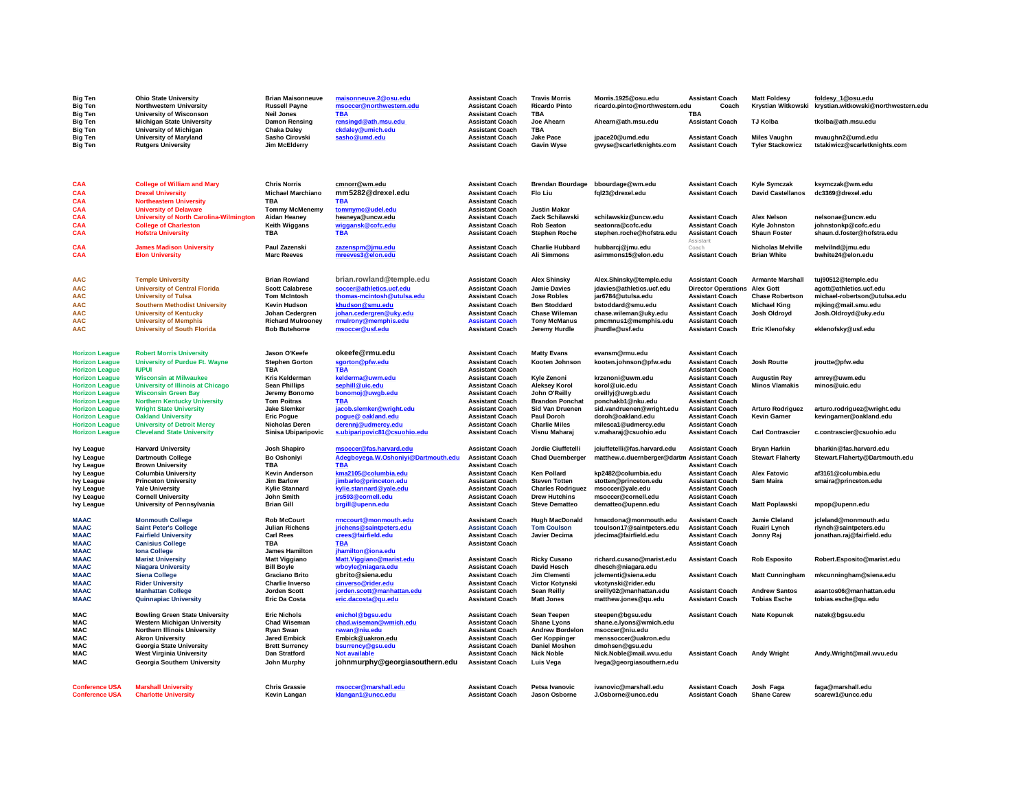| <b>Big Ten</b><br><b>Big Ten</b><br><b>Big Ten</b> | <b>Ohio State University</b><br>Northwestern University<br><b>University of Wisconson</b> | <b>Brian Maisonneuve</b><br><b>Russell Payne</b><br><b>Neil Jones</b> | maisonneuve.2@osu.edu<br>msoccer@northwestern.edu<br><b>TBA</b> | <b>Assistant Coach</b><br><b>Assistant Coach</b><br><b>Assistant Coach</b> | <b>Travis Morris</b><br><b>Ricardo Pinto</b><br><b>TBA</b> | Morris.1925@osu.edu<br>ricardo.pinto@northwestern.edu | <b>Assistant Coach</b><br>Coach<br><b>TBA</b>    | <b>Matt Foldesy</b><br>Krystian Witkowski       | foldesy_1@osu.edu<br>krystian.witkowski@northwestern.edu |
|----------------------------------------------------|-------------------------------------------------------------------------------------------|-----------------------------------------------------------------------|-----------------------------------------------------------------|----------------------------------------------------------------------------|------------------------------------------------------------|-------------------------------------------------------|--------------------------------------------------|-------------------------------------------------|----------------------------------------------------------|
| <b>Big Ten</b><br><b>Big Ten</b>                   | <b>Michigan State University</b><br>University of Michigan                                | Damon Rensing<br><b>Chaka Daley</b>                                   | rensingd@ath.msu.edu<br>ckdaley@umich.edu                       | <b>Assistant Coach</b><br><b>Assistant Coach</b>                           | Joe Ahearn<br>TBA                                          | Ahearn@ath.msu.edu                                    | <b>Assistant Coach</b>                           | <b>TJ Kolba</b>                                 | tkolba@ath.msu.edu                                       |
| <b>Big Ten</b>                                     | <b>University of Maryland</b>                                                             | Sasho Cirovski                                                        | sasho@umd.edu                                                   | <b>Assistant Coach</b>                                                     | Jake Pace                                                  | jpace20@umd.edu                                       | <b>Assistant Coach</b>                           | <b>Miles Vaughn</b>                             | mvaughn2@umd.edu                                         |
| <b>Big Ten</b>                                     | <b>Rutgers University</b>                                                                 | Jim McElderry                                                         |                                                                 | <b>Assistant Coach</b>                                                     | <b>Gavin Wyse</b>                                          | gwyse@scarletknights.com                              | <b>Assistant Coach</b>                           | <b>Tyler Stackowicz</b>                         | tstakiwicz@scarletknights.com                            |
|                                                    |                                                                                           |                                                                       |                                                                 |                                                                            |                                                            |                                                       |                                                  |                                                 |                                                          |
|                                                    |                                                                                           |                                                                       |                                                                 |                                                                            |                                                            |                                                       |                                                  |                                                 |                                                          |
| CAA<br>CAA                                         | <b>College of William and Mary</b><br><b>Drexel University</b>                            | <b>Chris Norris</b><br>Michael Marchiano                              | cmnorr@wm.edu<br>mm5282@drexel.edu                              | <b>Assistant Coach</b><br><b>Assistant Coach</b>                           | <b>Brendan Bourdage</b><br>Flo Liu                         | bbourdage@wm.edu<br>fql23@drexel.edu                  | <b>Assistant Coach</b><br><b>Assistant Coach</b> | <b>Kyle Symczak</b><br><b>David Castellanos</b> | ksymczak@wm.edu<br>dc3369@drexel.edu                     |
| CAA                                                | <b>Northeastern University</b>                                                            | TBA                                                                   | <b>TBA</b>                                                      | <b>Assistant Coach</b>                                                     |                                                            |                                                       |                                                  |                                                 |                                                          |
| CAA                                                | <b>University of Delaware</b>                                                             | <b>Tommy McMenemy</b>                                                 | tommymc@udel.edu                                                | <b>Assistant Coach</b>                                                     | <b>Justin Makar</b>                                        |                                                       |                                                  |                                                 |                                                          |
| CAA<br>CAA                                         | <b>University of North Carolina-Wilmington</b><br><b>College of Charleston</b>            | <b>Aidan Heaney</b><br>Keith Wiggans                                  | heaneya@uncw.edu<br>wiggansk@cofc.edu                           | <b>Assistant Coach</b><br><b>Assistant Coach</b>                           | Zack Schilawski<br><b>Rob Seaton</b>                       | schilawskiz@uncw.edu<br>seatonra@cofc.edu             | <b>Assistant Coach</b><br><b>Assistant Coach</b> | <b>Alex Nelson</b><br>Kyle Johnston             | nelsonae@uncw.edu<br>johnstonkp@cofc.edu                 |
| CAA                                                | <b>Hofstra University</b>                                                                 | TBA                                                                   | <b>TBA</b>                                                      | <b>Assistant Coach</b>                                                     | <b>Stephen Roche</b>                                       | stephen.roche@hofstra.edu                             | <b>Assistant Coach</b>                           | <b>Shaun Foster</b>                             | shaun.d.foster@hofstra.edu                               |
|                                                    |                                                                                           |                                                                       |                                                                 |                                                                            |                                                            |                                                       | Assistant                                        |                                                 |                                                          |
| CAA<br>CAA                                         | <b>James Madison University</b><br><b>Elon University</b>                                 | Paul Zazenski<br><b>Marc Reeves</b>                                   | zazenspm@jmu.edu<br>mreeves3@elon.edu                           | <b>Assistant Coach</b><br><b>Assistant Coach</b>                           | <b>Charlie Hubbard</b><br><b>Ali Simmons</b>               | hubbarcj@jmu.edu<br>asimmons15@elon.edu               | Coach<br><b>Assistant Coach</b>                  | Nicholas Melville<br><b>Brian White</b>         | melvilnd@jmu.edu<br>bwhite24@elon.edu                    |
|                                                    |                                                                                           |                                                                       |                                                                 |                                                                            |                                                            |                                                       |                                                  |                                                 |                                                          |
| <b>AAC</b>                                         | <b>Temple University</b>                                                                  | <b>Brian Rowland</b>                                                  | brian.rowland@temple.edu                                        | <b>Assistant Coach</b>                                                     | <b>Alex Shinsky</b>                                        | Alex.Shinsky@temple.edu                               | <b>Assistant Coach</b>                           | <b>Armante Marshall</b>                         | tuj90512@temple.edu                                      |
| <b>AAC</b>                                         | <b>University of Central Florida</b>                                                      | <b>Scott Calabrese</b>                                                | soccer@athletics.ucf.edu                                        | <b>Assistant Coach</b>                                                     | <b>Jamie Davies</b>                                        | jdavies@athletics.ucf.edu                             | <b>Director Operations</b>                       | <b>Alex Gott</b>                                | agott@athletics.ucf.edu                                  |
| <b>AAC</b>                                         | <b>University of Tulsa</b>                                                                | <b>Tom McIntosh</b>                                                   | thomas-mcintosh@utulsa.edu                                      | <b>Assistant Coach</b>                                                     | <b>Jose Robles</b>                                         | jar6784@utulsa.edu                                    | <b>Assistant Coach</b>                           | <b>Chase Robertson</b>                          | michael-robertson@utulsa.edu                             |
| <b>AAC</b>                                         | <b>Southern Methodist University</b>                                                      | <b>Kevin Hudson</b>                                                   | khudson@smu.edu                                                 | <b>Assistant Coach</b>                                                     | <b>Ben Stoddard</b>                                        | bstoddard@smu.edu                                     | <b>Assistant Coach</b>                           | <b>Michael King</b>                             | mjking@mail.smu.edu                                      |
| <b>AAC</b>                                         | <b>University of Kentucky</b>                                                             | Johan Cedergren                                                       | johan.cedergren@uky.edu                                         | <b>Assistant Coach</b>                                                     | <b>Chase Wileman</b>                                       | chase.wileman@uky.edu                                 | <b>Assistant Coach</b>                           | Josh Oldroyd                                    | Josh.Oldroyd@uky.edu                                     |
| <b>AAC</b>                                         | <b>University of Memphis</b>                                                              | <b>Richard Mulrooney</b>                                              | rmulrony@memphis.edu                                            | <b>Assistant Coach</b>                                                     | <b>Tony McManus</b>                                        | pmcmnus1@memphis.edu                                  | <b>Assistant Coach</b>                           |                                                 |                                                          |
| <b>AAC</b>                                         | <b>University of South Florida</b>                                                        | <b>Bob Butehome</b>                                                   | msoccer@usf.edu                                                 | <b>Assistant Coach</b>                                                     | Jeremy Hurdle                                              | jhurdle@usf.edu                                       | <b>Assistant Coach</b>                           | <b>Eric Klenofsky</b>                           | eklenofsky@usf.edu                                       |
| <b>Horizon League</b>                              | <b>Robert Morris University</b>                                                           | Jason O'Keefe                                                         | okeefe@rmu.edu                                                  | <b>Assistant Coach</b>                                                     | <b>Matty Evans</b>                                         | evansm@rmu.edu                                        | <b>Assistant Coach</b>                           |                                                 |                                                          |
| <b>Horizon League</b>                              | <b>University of Purdue Ft. Wayne</b>                                                     | <b>Stephen Gorton</b>                                                 | sgorton@pfw.edu                                                 | <b>Assistant Coach</b>                                                     | Kooten Johnson                                             | kooten.johnson@pfw.edu                                | <b>Assistant Coach</b>                           | Josh Routte                                     | jroutte@pfw.edu                                          |
| <b>Horizon League</b>                              | <b>IUPUI</b>                                                                              | TBA                                                                   | <b>TBA</b>                                                      | <b>Assistant Coach</b>                                                     |                                                            |                                                       | <b>Assistant Coach</b>                           |                                                 |                                                          |
| <b>Horizon League</b>                              | <b>Wisconsin at Milwaukee</b>                                                             | Kris Kelderman                                                        | kelderma@uwm.edu                                                | <b>Assistant Coach</b>                                                     | Kyle Zenoni                                                | krzenoni@uwm.edu                                      | <b>Assistant Coach</b>                           | <b>Augustin Rey</b>                             | amrey@uwm.edu                                            |
| <b>Horizon League</b>                              | <b>University of Illinois at Chicago</b>                                                  | <b>Sean Phillips</b>                                                  | sephill@uic.edu                                                 | <b>Assistant Coach</b>                                                     | <b>Aleksey Korol</b>                                       | korol@uic.edu                                         | <b>Assistant Coach</b>                           | <b>Minos Vlamakis</b>                           | minos@uic.edu                                            |
| <b>Horizon League</b>                              | <b>Wisconsin Green Bay</b>                                                                | Jeremy Bonomo                                                         | bonomoj@uwgb.edu                                                | <b>Assistant Coach</b>                                                     | John O'Reilly                                              | oreillyj@uwgb.edu                                     | <b>Assistant Coach</b>                           |                                                 |                                                          |
| <b>Horizon League</b>                              | <b>Northern Kentucky University</b>                                                       | <b>Tom Poitras</b>                                                    | <b>TBA</b>                                                      | <b>Assistant Coach</b>                                                     | <b>Brandon Ponchat</b>                                     | ponchakb1@nku.edu                                     | <b>Assistant Coach</b>                           |                                                 |                                                          |
| <b>Horizon League</b><br><b>Horizon League</b>     | <b>Wright State University</b><br><b>Oakland University</b>                               | <b>Jake Slemker</b><br><b>Eric Pogue</b>                              | jacob.slemker@wright.edu<br>poque@oakland.edu                   | <b>Assistant Coach</b><br><b>Assistant Coach</b>                           | Sid Van Druenen<br><b>Paul Doroh</b>                       | sid.vandruenen@wright.edu<br>doroh@oakland.edu        | <b>Assistant Coach</b><br><b>Assistant Coach</b> | <b>Arturo Rodriguez</b><br><b>Kevin Garner</b>  | arturo.rodriguez@wright.edu<br>kevingarner@oakland.edu   |
| <b>Horizon League</b>                              | <b>University of Detroit Mercy</b>                                                        | <b>Nicholas Deren</b>                                                 | derennj@udmercy.edu                                             | <b>Assistant Coach</b>                                                     | <b>Charlie Miles</b>                                       | milesca1@udmercy.edu                                  | <b>Assistant Coach</b>                           |                                                 |                                                          |
| <b>Horizon League</b>                              | <b>Cleveland State University</b>                                                         | Sinisa Ubiparipovic                                                   | s.ubiparipovic81@csuohio.edu                                    | <b>Assistant Coach</b>                                                     | Visnu Maharaj                                              | v.maharaj@csuohio.edu                                 | <b>Assistant Coach</b>                           | <b>Carl Contrascier</b>                         | c.contrascier@csuohio.edu                                |
| <b>Ivy League</b>                                  | <b>Harvard University</b>                                                                 | Josh Shapiro                                                          | msoccer@fas.harvard.edu                                         | <b>Assistant Coach</b>                                                     | Jordie Ciuffetelli                                         | jciuffetelli@fas.harvard.edu                          | <b>Assistant Coach</b>                           | <b>Bryan Harkin</b>                             | bharkin@fas.harvard.edu                                  |
| <b>Ivy League</b>                                  | <b>Dartmouth College</b>                                                                  | <b>Bo Oshoniyi</b>                                                    | Adegboyega.W.Oshoniyi@Dartmouth.edu                             | <b>Assistant Coach</b>                                                     | <b>Chad Duernberger</b>                                    | matthew.c.duernberger@dartm Assistant Coach           |                                                  | <b>Stewart Flaherty</b>                         | Stewart.Flaherty@Dartmouth.edu                           |
| <b>Ivy League</b>                                  | <b>Brown University</b>                                                                   | TBA                                                                   | <b>TBA</b>                                                      | <b>Assistant Coach</b>                                                     |                                                            |                                                       | <b>Assistant Coach</b>                           |                                                 |                                                          |
| <b>Ivy League</b>                                  | <b>Columbia University</b>                                                                | <b>Kevin Anderson</b>                                                 | kma2105@columbia.edu                                            | <b>Assistant Coach</b>                                                     | Ken Pollard                                                | kp2482@columbia.edu                                   | <b>Assistant Coach</b>                           | <b>Alex Fatovic</b>                             | af3161@columbia.edu                                      |
| <b>Ivy League</b>                                  | <b>Princeton University</b>                                                               | <b>Jim Barlow</b>                                                     | jimbarlo@princeton.edu                                          | <b>Assistant Coach</b>                                                     | <b>Steven Totten</b>                                       | stotten@princeton.edu                                 | <b>Assistant Coach</b>                           | Sam Maira                                       | smaira@princeton.edu                                     |
| <b>Ivy League</b><br><b>Ivy League</b>             | <b>Yale University</b><br><b>Cornell University</b>                                       | <b>Kylie Stannard</b><br>John Smith                                   | kylie.stannard@yale.edu<br>jrs593@cornell.edu                   | <b>Assistant Coach</b><br><b>Assistant Coach</b>                           | <b>Charles Rodriguez</b><br><b>Drew Hutchins</b>           | msoccer@yale.edu<br>msoccer@cornell.edu               | <b>Assistant Coach</b><br><b>Assistant Coach</b> |                                                 |                                                          |
| <b>Ivy League</b>                                  | University of Pennsylvania                                                                | <b>Brian Gill</b>                                                     | brgill@upenn.edu                                                | <b>Assistant Coach</b>                                                     | <b>Steve Dematteo</b>                                      | dematteo@upenn.edu                                    | <b>Assistant Coach</b>                           | <b>Matt Poplawski</b>                           | mpop@upenn.edu                                           |
| <b>MAAC</b>                                        | <b>Monmouth College</b>                                                                   | <b>Rob McCourt</b>                                                    | rmccourt@monmouth.edu                                           | <b>Assistant Coach</b>                                                     | <b>Hugh MacDonald</b>                                      | hmacdona@monmouth.edu                                 | <b>Assistant Coach</b>                           | Jamie Cleland                                   | jcleland@monmouth.edu                                    |
| <b>MAAC</b>                                        | <b>Saint Peter's College</b>                                                              | <b>Julian Richens</b>                                                 | jrichens@saintpeters.edu                                        | <b>Assistant Coach</b>                                                     | <b>Tom Coulson</b>                                         | tcoulson17@saintpeters.edu                            | <b>Assistant Coach</b>                           | Ruairi Lynch                                    | rlynch@saintpeters.edu                                   |
| <b>MAAC</b>                                        | <b>Fairfield University</b>                                                               | <b>Carl Rees</b>                                                      | crees@fairfield.edu                                             | <b>Assistant Coach</b>                                                     | Javier Decima                                              | jdecima@fairfield.edu                                 | <b>Assistant Coach</b>                           | Jonny Raj                                       | jonathan.raj@fairfield.edu                               |
| <b>MAAC</b>                                        | <b>Canisius College</b>                                                                   | <b>TBA</b>                                                            | <b>TBA</b>                                                      | <b>Assistant Coach</b>                                                     |                                                            |                                                       | <b>Assistant Coach</b>                           |                                                 |                                                          |
| <b>MAAC</b>                                        | <b>Iona College</b>                                                                       | James Hamilton                                                        | jhamilton@iona.edu                                              |                                                                            |                                                            |                                                       |                                                  |                                                 |                                                          |
| <b>MAAC</b>                                        | <b>Marist University</b>                                                                  | <b>Matt Viggiano</b>                                                  | Matt.Viggiano@marist.edu                                        | <b>Assistant Coach</b>                                                     | <b>Ricky Cusano</b>                                        | richard.cusano@marist.edu                             | <b>Assistant Coach</b>                           | <b>Rob Esposito</b>                             | Robert.Esposito@marist.edu                               |
| <b>MAAC</b><br><b>MAAC</b>                         | <b>Niagara University</b>                                                                 | <b>Bill Boyle</b>                                                     | wboyle@niagara.edu                                              | <b>Assistant Coach</b>                                                     | David Hesch                                                | dhesch@niagara.edu                                    |                                                  |                                                 |                                                          |
| <b>MAAC</b>                                        | <b>Siena College</b><br><b>Rider University</b>                                           | <b>Graciano Brito</b><br><b>Charlie Inverso</b>                       | gbrito@siena.edu<br>cinverso@rider.edu                          | <b>Assistant Coach</b><br><b>Assistant Coach</b>                           | Jim Clementi<br><b>Victor Kotvnski</b>                     | jclementi@siena.edu<br>vkotvnski@rider.edu            | <b>Assistant Coach</b>                           | <b>Matt Cunningham</b>                          | mkcunningham@siena.edu                                   |
| <b>MAAC</b>                                        | <b>Manhattan College</b>                                                                  | Jorden Scott                                                          | jorden.scott@manhattan.edu                                      | <b>Assistant Coach</b>                                                     | <b>Sean Reilly</b>                                         | sreilly02@manhattan.edu                               | <b>Assistant Coach</b>                           | <b>Andrew Santos</b>                            | asantos06@manhattan.edu                                  |
| <b>MAAC</b>                                        | <b>Quinnapiac University</b>                                                              | <b>Eric Da Costa</b>                                                  | eric.dacosta@qu.edu                                             | <b>Assistant Coach</b>                                                     | <b>Matt Jones</b>                                          | matthew.jones@qu.edu                                  | <b>Assistant Coach</b>                           | <b>Tobias Esche</b>                             | tobias.esche@qu.edu                                      |
| MAC                                                | <b>Bowling Green State University</b>                                                     | <b>Eric Nichols</b>                                                   | enichol@bgsu.edu                                                | <b>Assistant Coach</b>                                                     | Sean Teepen                                                | steepen@bgsu.edu                                      | <b>Assistant Coach</b>                           | <b>Nate Kopunek</b>                             | natek@bgsu.edu                                           |
| MAC.                                               | <b>Western Michigan University</b>                                                        | <b>Chad Wiseman</b>                                                   | chad.wiseman@wmich.edu                                          | <b>Assistant Coach</b>                                                     | <b>Shane Lvons</b>                                         | shane.e.lyons@wmich.edu                               |                                                  |                                                 |                                                          |
| <b>MAC</b>                                         | Northern Illinois University                                                              | <b>Rvan Swan</b>                                                      | rswan@niu.edu                                                   | <b>Assistant Coach</b>                                                     | <b>Andrew Bordelon</b>                                     | msoccer@niu.edu                                       |                                                  |                                                 |                                                          |
| <b>MAC</b><br><b>MAC</b>                           | <b>Akron University</b>                                                                   | <b>Jared Embick</b>                                                   | Embick@uakron.edu                                               | <b>Assistant Coach</b>                                                     | <b>Ger Koppinger</b>                                       | menssoccer@uakron.edu                                 |                                                  |                                                 |                                                          |
| <b>MAC</b>                                         | Georgia State University<br><b>West Virginia University</b>                               | <b>Brett Surrency</b><br>Dan Stratford                                | bsurrency@gsu.edu<br><b>Not available</b>                       | <b>Assistant Coach</b><br><b>Assistant Coach</b>                           | <b>Daniel Moshen</b><br><b>Nick Noble</b>                  | dmohsen@gsu.edu<br>Nick.Noble@mail.wvu.edu            | <b>Assistant Coach</b>                           | <b>Andy Wright</b>                              | Andy.Wright@mail.wvu.edu                                 |
| <b>MAC</b>                                         | Georgia Southern University                                                               | John Murphy                                                           | johnmurphy@georgiasouthern.edu                                  | <b>Assistant Coach</b>                                                     | <b>Luis Vega</b>                                           | Ivega@georgiasouthern.edu                             |                                                  |                                                 |                                                          |
|                                                    |                                                                                           |                                                                       |                                                                 |                                                                            |                                                            |                                                       |                                                  |                                                 |                                                          |
| <b>Conference USA</b>                              | <b>Marshall University</b>                                                                | <b>Chris Grassie</b>                                                  | msoccer@marshall.edu                                            | <b>Assistant Coach</b>                                                     | Petsa Ivanovic                                             | ivanovic@marshall.edu                                 | <b>Assistant Coach</b>                           | Josh Faga                                       | faga@marshall.edu                                        |
| <b>Conference USA</b>                              | <b>Charlotte University</b>                                                               | Kevin Langan                                                          | klangan1@uncc.edu                                               | <b>Assistant Coach</b>                                                     | <b>Jason Osborne</b>                                       | J.Osborne@uncc.edu                                    | <b>Assistant Coach</b>                           | <b>Shane Carew</b>                              | scarew1@uncc.edu                                         |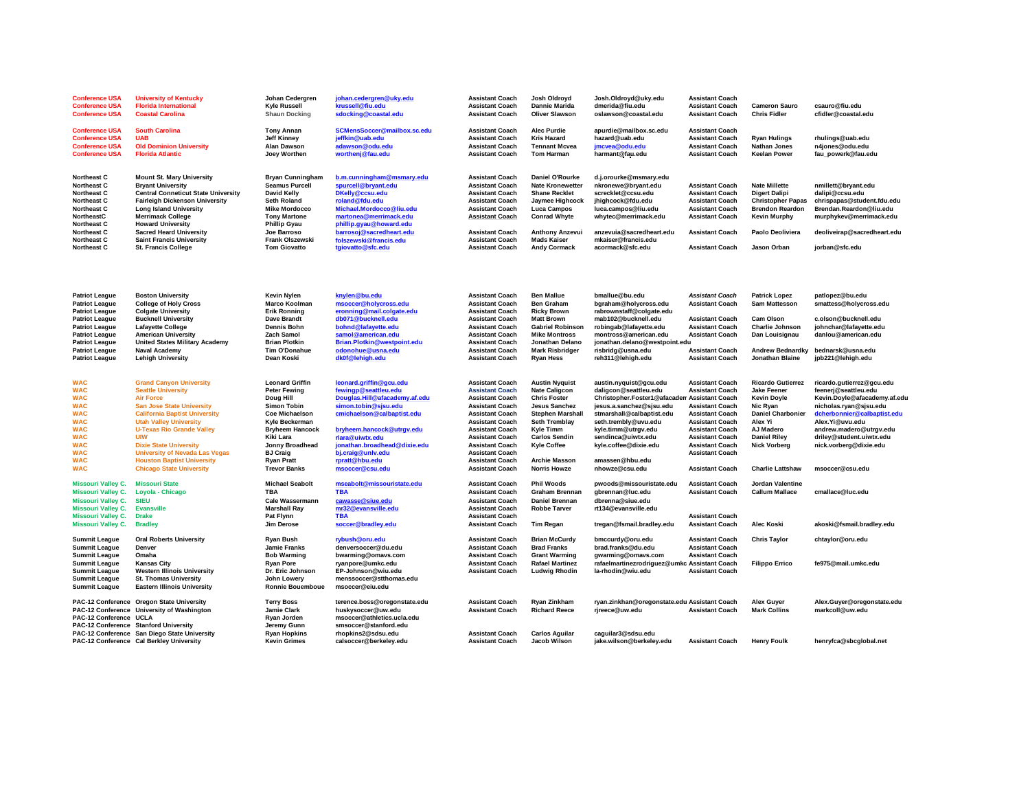| <b>Conference USA</b><br><b>Conference USA</b><br><b>Conference USA</b>                                                                                                                     | <b>University of Kentucky</b><br><b>Florida International</b><br><b>Coastal Carolina</b>                                                                                                                                                                                                                                                        | Johan Cedergren<br><b>Kyle Russell</b><br><b>Shaun Docking</b>                                                                                                                                                              | johan.cedergren@uky.edu<br>krussell@fiu.edu<br>sdocking@coastal.edu                                                                                                                                                                               | <b>Assistant Coach</b><br><b>Assistant Coach</b><br><b>Assistant Coach</b>                                                                                                                                                                                       | Josh Oldroyd<br><b>Dannie Marida</b><br><b>Oliver Slawson</b>                                                                                                                                              | Josh.Oldroyd@uky.edu<br>dmerida@fiu.edu<br>oslawson@coastal.edu                                                                                                                                                                                        | <b>Assistant Coach</b><br><b>Assistant Coach</b><br><b>Assistant Coach</b>                                                                                                                                                             | <b>Cameron Sauro</b><br><b>Chris Fidler</b>                                                                                                                                        | csauro@fiu.edu<br>cfidler@coastal.edu                                                                                                                                                                                                          |
|---------------------------------------------------------------------------------------------------------------------------------------------------------------------------------------------|-------------------------------------------------------------------------------------------------------------------------------------------------------------------------------------------------------------------------------------------------------------------------------------------------------------------------------------------------|-----------------------------------------------------------------------------------------------------------------------------------------------------------------------------------------------------------------------------|---------------------------------------------------------------------------------------------------------------------------------------------------------------------------------------------------------------------------------------------------|------------------------------------------------------------------------------------------------------------------------------------------------------------------------------------------------------------------------------------------------------------------|------------------------------------------------------------------------------------------------------------------------------------------------------------------------------------------------------------|--------------------------------------------------------------------------------------------------------------------------------------------------------------------------------------------------------------------------------------------------------|----------------------------------------------------------------------------------------------------------------------------------------------------------------------------------------------------------------------------------------|------------------------------------------------------------------------------------------------------------------------------------------------------------------------------------|------------------------------------------------------------------------------------------------------------------------------------------------------------------------------------------------------------------------------------------------|
| <b>Conference USA</b><br><b>Conference USA</b><br><b>Conference USA</b><br><b>Conference USA</b>                                                                                            | <b>South Carolina</b><br><b>UAB</b><br><b>Old Dominion University</b><br><b>Florida Atlantic</b>                                                                                                                                                                                                                                                | <b>Tony Annan</b><br><b>Jeff Kinney</b><br><b>Alan Dawson</b><br>Joey Worthen                                                                                                                                               | SCMensSoccer@mailbox.sc.edu<br>jeffkin@uab.edu<br>adawson@odu.edu<br>worthenj@fau.edu                                                                                                                                                             | <b>Assistant Coach</b><br><b>Assistant Coach</b><br><b>Assistant Coach</b><br><b>Assistant Coach</b>                                                                                                                                                             | <b>Alec Purdie</b><br><b>Kris Hazard</b><br><b>Tennant Mcvea</b><br>Tom Harman                                                                                                                             | apurdie@mailbox.sc.edu<br>hazard@uab.edu<br>jmcvea@odu.edu<br>harmant@fau.edu                                                                                                                                                                          | <b>Assistant Coach</b><br><b>Assistant Coach</b><br><b>Assistant Coach</b><br><b>Assistant Coach</b>                                                                                                                                   | <b>Ryan Hulings</b><br><b>Nathan Jones</b><br><b>Keelan Power</b>                                                                                                                  | rhulings@uab.edu<br>n4jones@odu.edu<br>fau powerk@fau.edu                                                                                                                                                                                      |
| Northeast C<br><b>Northeast C</b><br><b>Northeast C</b><br>Northeast C<br>Northeast C<br><b>NortheastC</b><br>Northeast C<br><b>Northeast C</b><br><b>Northeast C</b><br><b>Northeast C</b> | <b>Mount St. Mary University</b><br><b>Bryant University</b><br><b>Central Conneticut State University</b><br><b>Fairleigh Dickenson University</b><br><b>Long Island University</b><br><b>Merrimack College</b><br><b>Howard University</b><br><b>Sacred Heard University</b><br><b>Saint Francis University</b><br><b>St. Francis College</b> | <b>Bryan Cunningham</b><br><b>Seamus Purcell</b><br>David Kelly<br><b>Seth Roland</b><br><b>Mike Mordocco</b><br><b>Tony Martone</b><br><b>Phillip Gyau</b><br>Joe Barroso<br><b>Frank Olszewski</b><br><b>Tom Giovatto</b> | b.m.cunningham@msmary.edu<br>spurcell@bryant.edu<br>DKelly@ccsu.edu<br>roland@fdu.edu<br>Michael.Mordocco@liu.edu<br>martonea@merrimack.edu<br>phillip.gyau@howard.edu<br>barrosoj@sacredheart.edu<br>folszewski@francis.edu<br>tgiovatto@sfc.edu | <b>Assistant Coach</b><br><b>Assistant Coach</b><br><b>Assistant Coach</b><br><b>Assistant Coach</b><br><b>Assistant Coach</b><br><b>Assistant Coach</b><br><b>Assistant Coach</b><br><b>Assistant Coach</b><br><b>Assistant Coach</b>                           | Daniel O'Rourke<br><b>Nate Kronewetter</b><br><b>Shane Recklet</b><br>Jaymee Highcock<br><b>Luca Campos</b><br><b>Conrad Whyte</b><br><b>Anthony Anzevui</b><br><b>Mads Kaiser</b><br><b>Andy Cormack</b>  | d.j.orourke@msmary.edu<br>nkronewe@bryant.edu<br>screcklet@ccsu.edu<br>jhighcock@fdu.edu<br>luca.campos@liu.edu<br>whytec@merrimack.edu<br>anzevuia@sacredheart.edu<br>mkaiser@francis.edu<br>acormack@sfc.edu                                         | <b>Assistant Coach</b><br><b>Assistant Coach</b><br><b>Assistant Coach</b><br><b>Assistant Coach</b><br><b>Assistant Coach</b><br><b>Assistant Coach</b><br><b>Assistant Coach</b>                                                     | <b>Nate Millette</b><br><b>Digert Dalipi</b><br><b>Christopher Papas</b><br><b>Brendon Reardon</b><br><b>Kevin Murphy</b><br>Paolo Deoliviera<br>Jason Orban                       | nmillett@bryant.edu<br>dalipi@ccsu.edu<br>chrispapas@student.fdu.edu<br>Brendan.Reardon@liu.edu<br>murphykev@merrimack.edu<br>deoliveirap@sacredheart.edu<br>jorban@sfc.edu                                                                    |
| <b>Patriot League</b><br><b>Patriot League</b><br><b>Patriot League</b><br><b>Patriot League</b>                                                                                            | <b>Boston University</b><br><b>College of Holy Cross</b><br><b>Colgate University</b><br><b>Bucknell University</b>                                                                                                                                                                                                                             | <b>Kevin Nylen</b><br>Marco Koolman<br><b>Erik Ronning</b><br>Dave Brandt                                                                                                                                                   | knylen@bu.edu<br>msoccer@holycross.edu<br>eronning@mail.colgate.edu<br>db071@bucknell.edu                                                                                                                                                         | <b>Assistant Coach</b><br><b>Assistant Coach</b><br><b>Assistant Coach</b><br><b>Assistant Coach</b>                                                                                                                                                             | <b>Ben Mallue</b><br><b>Ben Graham</b><br><b>Ricky Brown</b><br><b>Matt Brown</b>                                                                                                                          | bmallue@bu.edu<br>bgraham@holycross.edu<br>rabrownstaff@colgate.edu<br>mab102@bucknell.edu                                                                                                                                                             | <b>Assistant Coach</b><br><b>Assistant Coach</b><br><b>Assistant Coach</b>                                                                                                                                                             | <b>Patrick Lopez</b><br><b>Sam Mattesson</b><br><b>Cam Olson</b>                                                                                                                   | patlopez@bu.edu<br>smattess@holycross.edu<br>c.olson@bucknell.edu                                                                                                                                                                              |
| <b>Patriot League</b><br><b>Patriot League</b><br><b>Patriot League</b>                                                                                                                     | <b>Lafayette College</b><br><b>American University</b><br><b>United States Military Academy</b>                                                                                                                                                                                                                                                 | <b>Dennis Bohn</b><br>Zach Samol<br><b>Brian Plotkin</b>                                                                                                                                                                    | bohnd@lafayette.edu<br>samol@american.edu<br>Brian.Plotkin@westpoint.edu                                                                                                                                                                          | <b>Assistant Coach</b><br><b>Assistant Coach</b><br><b>Assistant Coach</b>                                                                                                                                                                                       | <b>Gabriel Robinson</b><br><b>Mike Montross</b><br>Jonathan Delano                                                                                                                                         | robingab@lafayette.edu<br>montross@american.edu<br>jonathan.delano@westpoint.edu                                                                                                                                                                       | <b>Assistant Coach</b><br><b>Assistant Coach</b>                                                                                                                                                                                       | Charlie Johnson<br>Dan Louisignau                                                                                                                                                  | johnchar@lafayette.edu<br>danlou@american.edu                                                                                                                                                                                                  |
| <b>Patriot League</b><br><b>Patriot League</b>                                                                                                                                              | <b>Naval Academy</b><br><b>Lehigh University</b>                                                                                                                                                                                                                                                                                                | Tim O'Donahue<br>Dean Koski                                                                                                                                                                                                 | odonohue@usna.edu<br>dk0f@lehigh.edu                                                                                                                                                                                                              | <b>Assistant Coach</b><br><b>Assistant Coach</b>                                                                                                                                                                                                                 | <b>Mark Risbridger</b><br><b>Ryan Hess</b>                                                                                                                                                                 | risbridg@usna.edu<br>reh311@lehiah.edu                                                                                                                                                                                                                 | <b>Assistant Coach</b><br><b>Assistant Coach</b>                                                                                                                                                                                       | <b>Andrew Bednardky</b><br>Jonathan Blaine                                                                                                                                         | bednarsk@usna.edu<br>ipb221@lehiah.edu                                                                                                                                                                                                         |
| <b>WAC</b><br><b>WAC</b><br><b>WAC</b><br><b>WAC</b><br><b>WAC</b><br><b>WAC</b><br><b>WAC</b><br><b>WAC</b><br><b>WAC</b><br><b>WAC</b>                                                    | <b>Grand Canyon University</b><br><b>Seattle University</b><br><b>Air Force</b><br><b>San Jose State University</b><br><b>California Baptist University</b><br><b>Utah Valley University</b><br><b>U-Texas Rio Grande Valley</b><br><b>UIW</b><br><b>Dixie State University</b><br><b>University of Nevada Las Vegas</b>                        | <b>Leonard Griffin</b><br><b>Peter Fewing</b><br>Doug Hill<br><b>Simon Tobin</b><br><b>Coe Michaelson</b><br>Kyle Beckerman<br><b>Bryheem Hancock</b><br>Kiki Lara<br>Jonny Broadhead<br><b>BJ Craig</b>                    | leonard.griffin@gcu.edu<br>fewingp@seattleu.edu<br>Douglas.Hill@afacademy.af.edu<br>simon.tobin@sjsu.edu<br>cmichaelson@calbaptist.edu<br>bryheem.hancock@utrgv.edu<br>rlara@uiwtx.edu<br>jonathan.broadhead@dixie.edu<br>bj.craig@unly.edu       | <b>Assistant Coach</b><br><b>Assistant Coach</b><br><b>Assistant Coach</b><br><b>Assistant Coach</b><br><b>Assistant Coach</b><br><b>Assistant Coach</b><br><b>Assistant Coach</b><br><b>Assistant Coach</b><br><b>Assistant Coach</b><br><b>Assistant Coach</b> | <b>Austin Nyquist</b><br><b>Nate Caligcon</b><br><b>Chris Foster</b><br><b>Jesus Sanchez</b><br><b>Stephen Marshall</b><br>Seth Tremblay<br><b>Kyle Timm</b><br><b>Carlos Sendin</b><br><b>Kyle Coffee</b> | austin.nyquist@gcu.edu<br>daligcon@seattleu.edu<br>Christopher.Foster1@afacaden Assistant Coach<br>jesus.a.sanchez@sjsu.edu<br>stmarshall@calbaptist.edu<br>seth.trembly@uvu.edu<br>kyle.timm@utrgv.edu<br>sendinca@uiwtx.edu<br>kyle.coffee@dixie.edu | <b>Assistant Coach</b><br><b>Assistant Coach</b><br><b>Assistant Coach</b><br><b>Assistant Coach</b><br><b>Assistant Coach</b><br><b>Assistant Coach</b><br><b>Assistant Coach</b><br><b>Assistant Coach</b><br><b>Assistant Coach</b> | <b>Ricardo Gutierrez</b><br><b>Jake Feener</b><br><b>Kevin Doyle</b><br>Nic Ryan<br><b>Daniel Charbonier</b><br>Alex Yi<br>AJ Madero<br><b>Daniel Rilev</b><br><b>Nick Vorberg</b> | ricardo.gutierrez@gcu.edu<br>feenerj@seattleu.edu<br>Kevin.Doyle@afacademy.af.edu<br>nicholas.ryan@sjsu.edu<br>dcherbonnier@calbaptist.edu<br>Alex.Yi@uvu.edu<br>andrew.madero@utrgv.edu<br>driley@student.uiwtx.edu<br>nick.vorberg@dixie.edu |
| <b>WAC</b><br><b>WAC</b>                                                                                                                                                                    | <b>Houston Baptist University</b><br><b>Chicago State University</b>                                                                                                                                                                                                                                                                            | <b>Ryan Pratt</b><br><b>Trevor Banks</b>                                                                                                                                                                                    | rpratt@hbu.edu<br>msoccer@csu.edu                                                                                                                                                                                                                 | <b>Assistant Coach</b><br><b>Assistant Coach</b>                                                                                                                                                                                                                 | <b>Archie Masson</b><br><b>Norris Howze</b>                                                                                                                                                                | amassen@hbu.edu<br>nhowze@csu.edu                                                                                                                                                                                                                      | <b>Assistant Coach</b>                                                                                                                                                                                                                 | <b>Charlie Lattshaw</b>                                                                                                                                                            | msoccer@csu.edu                                                                                                                                                                                                                                |
| <b>Missouri Valley C.</b><br><b>Missouri Valley C.</b><br><b>Missouri Valley C.</b><br><b>Missouri Valley C.</b><br><b>Missouri Valley C.</b>                                               | <b>Missouri State</b><br>Loyola - Chicago<br><b>SIEU</b><br><b>Evansville</b><br><b>Drake</b>                                                                                                                                                                                                                                                   | <b>Michael Seabolt</b><br>TBA<br><b>Cale Wassermann</b><br><b>Marshall Ray</b><br>Pat Flynn                                                                                                                                 | mseabolt@missouristate.edu<br><b>TBA</b><br>cawasse@siue.edu<br>mr32@evansville.edu<br><b>TBA</b>                                                                                                                                                 | <b>Assistant Coach</b><br><b>Assistant Coach</b><br><b>Assistant Coach</b><br><b>Assistant Coach</b><br><b>Assistant Coach</b>                                                                                                                                   | <b>Phil Woods</b><br><b>Graham Brennan</b><br><b>Daniel Brennan</b><br><b>Robbe Tarver</b>                                                                                                                 | pwoods@missouristate.edu<br>gbrennan@luc.edu<br>dbrenna@siue.edu<br>rt134@evansville.edu                                                                                                                                                               | <b>Assistant Coach</b><br><b>Assistant Coach</b><br><b>Assistant Coach</b>                                                                                                                                                             | Jordan Valentine<br><b>Callum Mallace</b>                                                                                                                                          | cmallace@luc.edu                                                                                                                                                                                                                               |
| <b>Missouri Valley C.</b>                                                                                                                                                                   | <b>Bradley</b>                                                                                                                                                                                                                                                                                                                                  | Jim Derose                                                                                                                                                                                                                  | soccer@bradley.edu                                                                                                                                                                                                                                | <b>Assistant Coach</b>                                                                                                                                                                                                                                           | Tim Regan                                                                                                                                                                                                  | tregan@fsmail.bradley.edu                                                                                                                                                                                                                              | <b>Assistant Coach</b>                                                                                                                                                                                                                 | Alec Koski                                                                                                                                                                         | akoski@fsmail.bradley.edu                                                                                                                                                                                                                      |
| <b>Summit League</b><br><b>Summit League</b><br><b>Summit League</b><br><b>Summit League</b><br><b>Summit League</b><br><b>Summit League</b><br><b>Summit League</b>                        | <b>Oral Roberts University</b><br>Denver<br>Omaha<br><b>Kansas City</b><br><b>Western Illinois University</b><br>St. Thomas University<br><b>Eastern Illinois University</b>                                                                                                                                                                    | <b>Ryan Bush</b><br><b>Jamie Franks</b><br><b>Bob Warming</b><br><b>Ryan Pore</b><br>Dr. Eric Johnson<br>John Lowery<br><b>Ronnie Bouemboue</b>                                                                             | rybush@oru.edu<br>denversoccer@du.edu<br>bwarming@omavs.com<br>ryanpore@umkc.edu<br>EP-Johnson@wiu.edu<br>menssoccer@stthomas.edu<br>msoccer@eiu.edu                                                                                              | <b>Assistant Coach</b><br><b>Assistant Coach</b><br><b>Assistant Coach</b><br><b>Assistant Coach</b><br><b>Assistant Coach</b>                                                                                                                                   | <b>Brian McCurdy</b><br><b>Brad Franks</b><br><b>Grant Warming</b><br><b>Rafael Martinez</b><br><b>Ludwig Rhodin</b>                                                                                       | bmccurdy@oru.edu<br>brad.franks@du.edu<br>gwarming@omavs.com<br>rafaelmartinezrodriguez@umkc Assistant Coach<br>la-rhodin@wiu.edu                                                                                                                      | <b>Assistant Coach</b><br><b>Assistant Coach</b><br><b>Assistant Coach</b><br><b>Assistant Coach</b>                                                                                                                                   | <b>Chris Taylor</b><br><b>Filippo Errico</b>                                                                                                                                       | chtaylor@oru.edu<br>fe975@mail.umkc.edu                                                                                                                                                                                                        |
| PAC-12 Conference UCLA                                                                                                                                                                      | PAC-12 Conference Oregon State University<br>PAC-12 Conference University of Washington<br>PAC-12 Conference Stanford University                                                                                                                                                                                                                | <b>Terry Boss</b><br><b>Jamie Clark</b><br>Ryan Jorden<br>Jeremy Gunn                                                                                                                                                       | terence.boss@oregonstate.edu<br>huskysoccer@uw.edu<br>msoccer@athletics.ucla.edu<br>smsoccer@stanford.edu                                                                                                                                         | <b>Assistant Coach</b><br><b>Assistant Coach</b>                                                                                                                                                                                                                 | Ryan Zinkham<br><b>Richard Reece</b>                                                                                                                                                                       | ryan.zinkhan@oregonstate.edu Assistant Coach<br>rjreece@uw.edu                                                                                                                                                                                         | <b>Assistant Coach</b>                                                                                                                                                                                                                 | <b>Alex Guyer</b><br><b>Mark Collins</b>                                                                                                                                           | Alex.Guyer@oregonstate.edu<br>markcoll@uw.edu                                                                                                                                                                                                  |
|                                                                                                                                                                                             | PAC-12 Conference San Diego State University<br>PAC-12 Conference Cal Berkley University                                                                                                                                                                                                                                                        | <b>Ryan Hopkins</b><br><b>Kevin Grimes</b>                                                                                                                                                                                  | rhopkins2@sdsu.edu<br>calsoccer@berkeley.edu                                                                                                                                                                                                      | <b>Assistant Coach</b><br><b>Assistant Coach</b>                                                                                                                                                                                                                 | <b>Carlos Aguilar</b><br>Jacob Wilson                                                                                                                                                                      | caguilar3@sdsu.edu<br>jake.wilson@berkeley.edu                                                                                                                                                                                                         | <b>Assistant Coach</b>                                                                                                                                                                                                                 | <b>Henry Foulk</b>                                                                                                                                                                 | henryfca@sbcglobal.net                                                                                                                                                                                                                         |